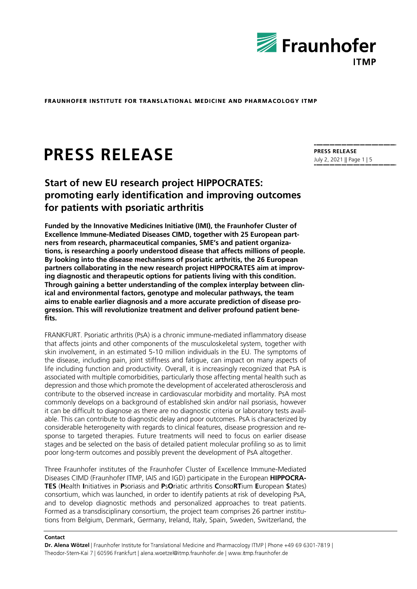

# **PRESS RELEASE**

## **Start of new EU research project HIPPOCRATES: promoting early identification and improving outcomes for patients with psoriatic arthritis**

**Funded by the Innovative Medicines Initiative (IMI), the Fraunhofer Cluster of Excellence Immune-Mediated Diseases CIMD, together with 25 European partners from research, pharmaceutical companies, SME's and patient organizations, is researching a poorly understood disease that affects millions of people. By looking into the disease mechanisms of psoriatic arthritis, the 26 European partners collaborating in the new research project HIPPOCRATES aim at improving diagnostic and therapeutic options for patients living with this condition. Through gaining a better understanding of the complex interplay between clinical and environmental factors, genotype and molecular pathways, the team aims to enable earlier diagnosis and a more accurate prediction of disease progression. This will revolutionize treatment and deliver profound patient benefits.** 

FRANKFURT. Psoriatic arthritis (PsA) is a chronic immune-mediated inflammatory disease that affects joints and other components of the musculoskeletal system, together with skin involvement, in an estimated 5-10 million individuals in the EU. The symptoms of the disease, including pain, joint stiffness and fatigue, can impact on many aspects of life including function and productivity. Overall, it is increasingly recognized that PsA is associated with multiple comorbidities, particularly those affecting mental health such as depression and those which promote the development of accelerated atherosclerosis and contribute to the observed increase in cardiovascular morbidity and mortality. PsA most commonly develops on a background of established skin and/or nail psoriasis, however it can be difficult to diagnose as there are no diagnostic criteria or laboratory tests available. This can contribute to diagnostic delay and poor outcomes. PsA is characterized by considerable heterogeneity with regards to clinical features, disease progression and response to targeted therapies. Future treatments will need to focus on earlier disease stages and be selected on the basis of detailed patient molecular profiling so as to limit poor long-term outcomes and possibly prevent the development of PsA altogether.

Three Fraunhofer institutes of the Fraunhofer Cluster of Excellence Immune-Mediated Diseases CIMD (Fraunhofer ITMP, IAIS and IGD) participate in the European **HIPPOCRA-TES** (**H**ealth **I**nitiatives in **P**soriasis and **P**s**O**riatic arthritis **C**onso**RT**ium **E**uropean **S**tates) consortium, which was launched, in order to identify patients at risk of developing PsA, and to develop diagnostic methods and personalized approaches to treat patients. Formed as a transdisciplinary consortium, the project team comprises 26 partner institutions from Belgium, Denmark, Germany, Ireland, Italy, Spain, Sweden, Switzerland, the

#### **Contact**

**Dr. Alena Wötzel** Theodor-Stern-Kai 7 | 60596 Frankfurt | alena.woetzel@itmp.fraunhofer.de | www.itmp.fraunhofer.de

**PRESS RELEASE** July 2, 2021 || Page 1 | 5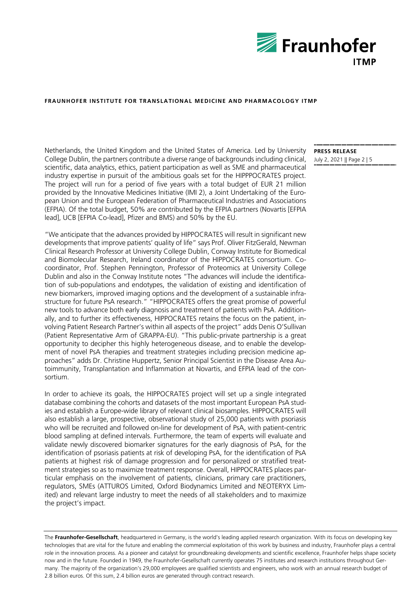

Netherlands, the United Kingdom and the United States of America. Led by University College Dublin, the partners contribute a diverse range of backgrounds including clinical, scientific, data analytics, ethics, patient participation as well as SME and pharmaceutical industry expertise in pursuit of the ambitious goals set for the HIPPPOCRATES project. The project will run for a period of five years with a total budget of EUR 21 million provided by the Innovative Medicines Initiative (IMI 2), a Joint Undertaking of the European Union and the European Federation of Pharmaceutical Industries and Associations (EFPIA). Of the total budget, 50% are contributed by the EFPIA partners (Novartis [EFPIA lead], UCB [EFPIA Co-lead], Pfizer and BMS) and 50% by the EU.

"We anticipate that the advances provided by HIPPOCRATES will result in significant new developments that improve patients' quality of life" says Prof. Oliver FitzGerald, Newman Clinical Research Professor at University College Dublin, Conway Institute for Biomedical and Biomolecular Research, Ireland coordinator of the HIPPOCRATES consortium. Cocoordinator, Prof. Stephen Pennington, Professor of Proteomics at University College Dublin and also in the Conway Institute notes "The advances will include the identification of sub-populations and endotypes, the validation of existing and identification of new biomarkers, improved imaging options and the development of a sustainable infrastructure for future PsA research." "HIPPOCRATES offers the great promise of powerful new tools to advance both early diagnosis and treatment of patients with PsA. Additionally, and to further its effectiveness, HIPPOCRATES retains the focus on the patient, involving Patient Research Partner's within all aspects of the project" adds Denis O'Sullivan (Patient Representative Arm of GRAPPA-EU). "This public-private partnership is a great opportunity to decipher this highly heterogeneous disease, and to enable the development of novel PsA therapies and treatment strategies including precision medicine approaches" adds Dr. Christine Huppertz, Senior Principal Scientist in the Disease Area Autoimmunity, Transplantation and Inflammation at Novartis, and EFPIA lead of the consortium.

In order to achieve its goals, the HIPPOCRATES project will set up a single integrated database combining the cohorts and datasets of the most important European PsA studies and establish a Europe-wide library of relevant clinical biosamples. HIPPOCRATES will also establish a large, prospective, observational study of 25,000 patients with psoriasis who will be recruited and followed on-line for development of PsA, with patient-centric blood sampling at defined intervals. Furthermore, the team of experts will evaluate and validate newly discovered biomarker signatures for the early diagnosis of PsA, for the identification of psoriasis patients at risk of developing PsA, for the identification of PsA patients at highest risk of damage progression and for personalized or stratified treatment strategies so as to maximize treatment response. Overall, HIPPOCRATES places particular emphasis on the involvement of patients, clinicians, primary care practitioners, regulators, SMEs (ATTUROS Limited, Oxford Biodynamics Limited and NEOTERYX Limited) and relevant large industry to meet the needs of all stakeholders and to maximize the project's impact.

The **Fraunhofer-Gesellschaft**, headquartered in Germany, is the world's leading applied research organization. With its focus on developing key technologies that are vital for the future and enabling the commercial exploitation of this work by business and industry, Fraunhofer plays a central role in the innovation process. As a pioneer and catalyst for groundbreaking developments and scientific excellence, Fraunhofer helps shape society now and in the future. Founded in 1949, the Fraunhofer-Gesellschaft currently operates 75 institutes and research institutions throughout Germany. The majority of the organization's 29,000 employees are qualified scientists and engineers, who work with an annual research budget of 2.8 billion euros. Of this sum, 2.4 billion euros are generated through contract research.

**PRESS RELEASE** July 2, 2021 || Page 2 | 5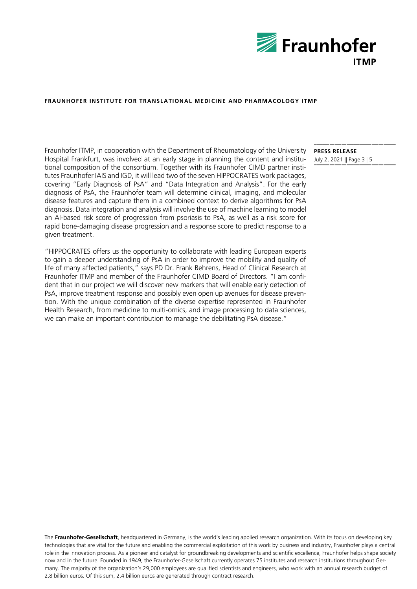

Fraunhofer ITMP, in cooperation with the Department of Rheumatology of the University Hospital Frankfurt, was involved at an early stage in planning the content and institutional composition of the consortium. Together with its Fraunhofer CIMD partner institutes Fraunhofer IAIS and IGD, it will lead two of the seven HIPPOCRATES work packages, covering "Early Diagnosis of PsA" and "Data Integration and Analysis". For the early diagnosis of PsA, the Fraunhofer team will determine clinical, imaging, and molecular disease features and capture them in a combined context to derive algorithms for PsA diagnosis. Data integration and analysis will involve the use of machine learning to model an AI-based risk score of progression from psoriasis to PsA, as well as a risk score for rapid bone-damaging disease progression and a response score to predict response to a given treatment.

"HIPPOCRATES offers us the opportunity to collaborate with leading European experts to gain a deeper understanding of PsA in order to improve the mobility and quality of life of many affected patients," says PD Dr. Frank Behrens, Head of Clinical Research at Fraunhofer ITMP and member of the Fraunhofer CIMD Board of Directors. "I am confident that in our project we will discover new markers that will enable early detection of PsA, improve treatment response and possibly even open up avenues for disease prevention. With the unique combination of the diverse expertise represented in Fraunhofer Health Research, from medicine to multi-omics, and image processing to data sciences, we can make an important contribution to manage the debilitating PsA disease."

**PRESS RELEASE** July 2, 2021 || Page 3 | 5

The **Fraunhofer-Gesellschaft**, headquartered in Germany, is the world's leading applied research organization. With its focus on developing key technologies that are vital for the future and enabling the commercial exploitation of this work by business and industry, Fraunhofer plays a central role in the innovation process. As a pioneer and catalyst for groundbreaking developments and scientific excellence, Fraunhofer helps shape society now and in the future. Founded in 1949, the Fraunhofer-Gesellschaft currently operates 75 institutes and research institutions throughout Germany. The majority of the organization's 29,000 employees are qualified scientists and engineers, who work with an annual research budget of 2.8 billion euros. Of this sum, 2.4 billion euros are generated through contract research.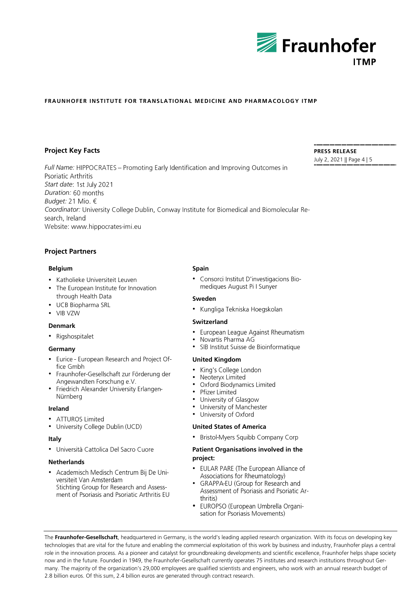

### **Project Key Facts**

*Full Name:* Psoriatic Arthritis *Start date Duration: Budget:* 21 Mio. € *Coordinator:* search, Ireland Website: www.hippocrates-imi.eu

## **Project Partners**

#### **Belgium**

- Katholieke Universiteit Leuven
- The European Institute for Innovation through Health Data
- UCB Biopharma SRL
- VIB VZW

### **Denmark**

• Rigshospitalet

### **Germany**

- Eurice European Research and Project Office Gmbh
- Fraunhofer-Gesellschaft zur Förderung der Angewandten Forschung e.V.
- Friedrich Alexander University Erlangen- $\bullet$ Nürnberg

#### **Ireland**

- ATTUROS Limited
- University College Dublin (UCD)

#### **Italy**

· Università Cattolica Del Sacro Cuore

### **Netherlands**

• Academisch Medisch Centrum Bij De Universiteit Van Amsterdam Stichting Group for Research and Assessment of Psoriasis and Psoriatic Arthritis EU

#### **Spain**

• Consorci Institut D'investigacions Biomediques August Pi I Sunyer

#### **Sweden**

• Kungliga Tekniska Hoegskolan

#### **Switzerland**

- European League Against Rheumatism  $\bullet$
- Novartis Pharma AG  $\bullet$
- SIB Institut Suisse de Bioinformatique  $\bullet$

#### **United Kingdom**

- $\bullet$ King's College London
- $\bullet$ Neoteryx Limited
- $\bullet$ Oxford Biodynamics Limited
- $\bullet$ Pfizer Limited
- $\bullet$ University of Glasgow
- University of Manchester  $\bullet$
- $\bullet$ University of Oxford

#### **United States of America**

• Bristol-Myers Squibb Company Corp

#### **Patient Organisations involved in the project:**

- EULAR PARE (The European Alliance of Associations for Rheumatology)
- GRAPPA-EU (Group for Research and  $\bullet$ Assessment of Psoriasis and Psoriatic Arthritis)
- · EUROPSO (European Umbrella Organisation for Psoriasis Movements)

The **Fraunhofer-Gesellschaft**, headquartered in Germany, is the world's leading applied research organization. With its focus on developing key technologies that are vital for the future and enabling the commercial exploitation of this work by business and industry, Fraunhofer plays a central role in the innovation process. As a pioneer and catalyst for groundbreaking developments and scientific excellence, Fraunhofer helps shape society now and in the future. Founded in 1949, the Fraunhofer-Gesellschaft currently operates 75 institutes and research institutions throughout Germany. The majority of the organization's 29,000 employees are qualified scientists and engineers, who work with an annual research budget of 2.8 billion euros. Of this sum, 2.4 billion euros are generated through contract research.

**PRESS RELEASE** July 2, 2021 || Page 4 | 5